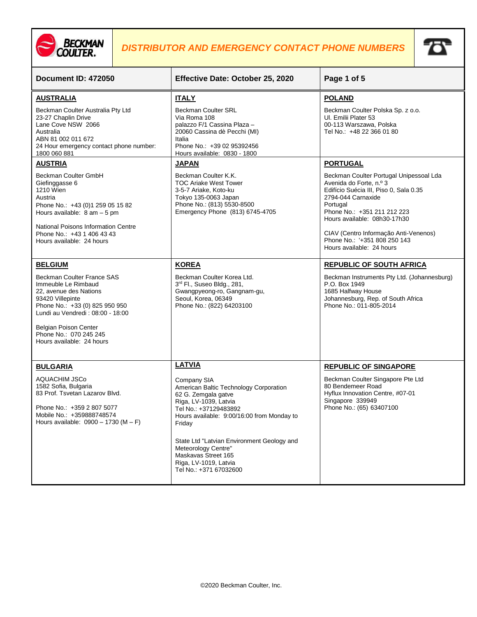



| Document ID: 472050                                                                                                                                                                                                                                          | Effective Date: October 25, 2020                                                                                                                                                                                                                                                                                                      | Page 1 of 5                                                                                                                                                                                                                                                                                                         |
|--------------------------------------------------------------------------------------------------------------------------------------------------------------------------------------------------------------------------------------------------------------|---------------------------------------------------------------------------------------------------------------------------------------------------------------------------------------------------------------------------------------------------------------------------------------------------------------------------------------|---------------------------------------------------------------------------------------------------------------------------------------------------------------------------------------------------------------------------------------------------------------------------------------------------------------------|
| <b>AUSTRALIA</b>                                                                                                                                                                                                                                             | <b>ITALY</b>                                                                                                                                                                                                                                                                                                                          | <b>POLAND</b>                                                                                                                                                                                                                                                                                                       |
| Beckman Coulter Australia Pty Ltd<br>23-27 Chaplin Drive<br>Lane Cove NSW 2066<br>Australia<br>ABN 81 002 011 672<br>24 Hour emergency contact phone number:<br>1800 060 881                                                                                 | <b>Beckman Coulter SRL</b><br>Via Roma 108<br>palazzo F/1 Cassina Plaza -<br>20060 Cassina dè Pecchi (MI)<br>Italia<br>Phone No.: +39 02 95392456<br>Hours available: 0830 - 1800                                                                                                                                                     | Beckman Coulter Polska Sp. z o.o.<br>UI. Emilii Plater 53<br>00-113 Warszawa, Polska<br>Tel No.: +48 22 366 01 80                                                                                                                                                                                                   |
| <b>AUSTRIA</b>                                                                                                                                                                                                                                               | <b>JAPAN</b>                                                                                                                                                                                                                                                                                                                          | <b>PORTUGAL</b>                                                                                                                                                                                                                                                                                                     |
| Beckman Coulter GmbH<br>Giefinggasse 6<br>1210 Wien<br>Austria<br>Phone No.: +43 (0)1 259 05 15 82<br>Hours available: $8 \text{ am} - 5 \text{ pm}$<br>National Poisons Information Centre<br>Phone No.: +43 1 406 43 43<br>Hours available: 24 hours       | Beckman Coulter K.K.<br><b>TOC Ariake West Tower</b><br>3-5-7 Ariake, Koto-ku<br>Tokyo 135-0063 Japan<br>Phone No.: (813) 5530-8500<br>Emergency Phone (813) 6745-4705                                                                                                                                                                | Beckman Coulter Portugal Unipessoal Lda<br>Avenida do Forte, n.º 3<br>Edifício Suécia III, Piso 0, Sala 0.35<br>2794-044 Carnaxide<br>Portugal<br>Phone No.: +351 211 212 223<br>Hours available: 08h30-17h30<br>CIAV (Centro Informação Anti-Venenos)<br>Phone No.: '+351 808 250 143<br>Hours available: 24 hours |
| <b>BELGIUM</b>                                                                                                                                                                                                                                               | <b>KOREA</b>                                                                                                                                                                                                                                                                                                                          | <b>REPUBLIC OF SOUTH AFRICA</b>                                                                                                                                                                                                                                                                                     |
| Beckman Coulter France SAS<br>Immeuble Le Rimbaud<br>22, avenue des Nations<br>93420 Villepinte<br>Phone No.: +33 (0) 825 950 950<br>Lundi au Vendredi: 08:00 - 18:00<br><b>Belgian Poison Center</b><br>Phone No.: 070 245 245<br>Hours available: 24 hours | Beckman Coulter Korea Ltd.<br>3rd Fl., Suseo Bldg., 281,<br>Gwangpyeong-ro, Gangnam-gu,<br>Seoul, Korea, 06349<br>Phone No.: (822) 64203100                                                                                                                                                                                           | Beckman Instruments Pty Ltd. (Johannesburg)<br>P.O. Box 1949<br>1685 Halfway House<br>Johannesburg, Rep. of South Africa<br>Phone No.: 011-805-2014                                                                                                                                                                 |
| <b>BULGARIA</b>                                                                                                                                                                                                                                              | <b>LATVIA</b>                                                                                                                                                                                                                                                                                                                         | <b>REPUBLIC OF SINGAPORE</b>                                                                                                                                                                                                                                                                                        |
| <b>AQUACHIM JSCo</b><br>1582 Sofia, Bulgaria<br>83 Prof. Tsvetan Lazarov Blvd.<br>Phone No.: +359 2 807 5077<br>Mobile No.: +359888748574<br>Hours available: $0900 - 1730$ (M - F)                                                                          | Company SIA<br>American Baltic Technology Corporation<br>62 G. Zemgala gatve<br>Riga, LV-1039, Latvia<br>Tel No.: +37129483892<br>Hours available: 9:00/16:00 from Monday to<br>Friday<br>State Ltd "Latvian Environment Geology and<br>Meteorology Centre"<br>Maskavas Street 165<br>Riga, LV-1019, Latvia<br>Tel No.: +371 67032600 | Beckman Coulter Singapore Pte Ltd<br>80 Bendemeer Road<br>Hyflux Innovation Centre, #07-01<br>Singapore 339949<br>Phone No.: (65) 63407100                                                                                                                                                                          |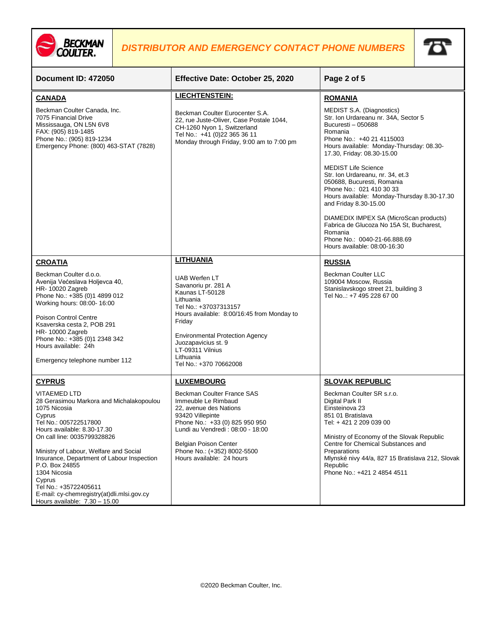



| Document ID: 472050                                                                                                                                                                                                                                                                                                                                                                                                            | Effective Date: October 25, 2020                                                                                                                                                                                                                                                  | Page 2 of 5                                                                                                                                                                                                                                                                                                      |
|--------------------------------------------------------------------------------------------------------------------------------------------------------------------------------------------------------------------------------------------------------------------------------------------------------------------------------------------------------------------------------------------------------------------------------|-----------------------------------------------------------------------------------------------------------------------------------------------------------------------------------------------------------------------------------------------------------------------------------|------------------------------------------------------------------------------------------------------------------------------------------------------------------------------------------------------------------------------------------------------------------------------------------------------------------|
| <b>CANADA</b>                                                                                                                                                                                                                                                                                                                                                                                                                  | <b>LIECHTENSTEIN:</b>                                                                                                                                                                                                                                                             | <b>ROMANIA</b>                                                                                                                                                                                                                                                                                                   |
| Beckman Coulter Canada, Inc.<br>7075 Financial Drive<br>Mississauga, ON L5N 6V8<br>FAX: (905) 819-1485<br>Phone No.: (905) 819-1234<br>Emergency Phone: (800) 463-STAT (7828)                                                                                                                                                                                                                                                  | Beckman Coulter Eurocenter S.A.<br>22, rue Juste-Oliver, Case Postale 1044,<br>CH-1260 Nyon 1, Switzerland<br>Tel No.: +41 (0)22 365 36 11<br>Monday through Friday, 9:00 am to 7:00 pm                                                                                           | MEDIST S.A. (Diagnostics)<br>Str. Ion Urdareanu nr. 34A, Sector 5<br>Bucuresti - 050688<br>Romania<br>Phone No.: +40 21 4115003<br>Hours available: Monday-Thursday: 08.30-<br>17.30, Friday: 08.30-15.00                                                                                                        |
|                                                                                                                                                                                                                                                                                                                                                                                                                                |                                                                                                                                                                                                                                                                                   | <b>MEDIST Life Science</b><br>Str. Ion Urdareanu, nr. 34, et.3<br>050688, Bucuresti, Romania<br>Phone No.: 021 410 30 33<br>Hours available: Monday-Thursday 8.30-17.30<br>and Friday 8.30-15.00                                                                                                                 |
|                                                                                                                                                                                                                                                                                                                                                                                                                                |                                                                                                                                                                                                                                                                                   | DIAMEDIX IMPEX SA (MicroScan products)<br>Fabrica de Glucoza No 15A St, Bucharest,<br>Romania<br>Phone No.: 0040-21-66.888.69<br>Hours available: 08:00-16:30                                                                                                                                                    |
| <b>CROATIA</b>                                                                                                                                                                                                                                                                                                                                                                                                                 | <b>LITHUANIA</b>                                                                                                                                                                                                                                                                  | <b>RUSSIA</b>                                                                                                                                                                                                                                                                                                    |
| Beckman Coulter d.o.o.<br>Avenija Većeslava Holjevca 40,<br>HR-10020 Zagreb<br>Phone No.: +385 (0)1 4899 012<br>Working hours: 08:00- 16:00<br><b>Poison Control Centre</b><br>Ksaverska cesta 2, POB 291<br>HR-10000 Zagreb<br>Phone No.: +385 (0)1 2348 342<br>Hours available: 24h<br>Emergency telephone number 112                                                                                                        | UAB Werfen LT<br>Savanoriu pr. 281 A<br>Kaunas LT-50128<br>Lithuania<br>Tel No.: +37037313157<br>Hours available: 8:00/16:45 from Monday to<br>Friday<br><b>Environmental Protection Agency</b><br>Juozapavicius st. 9<br>LT-09311 Vilnius<br>Lithuania<br>Tel No.: +370 70662008 | <b>Beckman Coulter LLC</b><br>109004 Moscow, Russia<br>Stanislavskogo street 21, building 3<br>Tel No: +7 495 228 67 00                                                                                                                                                                                          |
| <b>CYPRUS</b>                                                                                                                                                                                                                                                                                                                                                                                                                  | <b>LUXEMBOURG</b>                                                                                                                                                                                                                                                                 | <b>SLOVAK REPUBLIC</b>                                                                                                                                                                                                                                                                                           |
| <b>VITAEMED LTD</b><br>28 Gerasimou Markora and Michalakopoulou<br>1075 Nicosia<br>Cyprus<br>Tel No.: 005722517800<br>Hours available: 8.30-17.30<br>On call line: 0035799328826<br>Ministry of Labour, Welfare and Social<br>Insurance, Department of Labour Inspection<br>P.O. Box 24855<br>1304 Nicosia<br>Cyprus<br>Tel No.: +35722405611<br>E-mail: cy-chemregistry(at)dli.mlsi.gov.cy<br>Hours available: $7.30 - 15.00$ | Beckman Coulter France SAS<br>Immeuble Le Rimbaud<br>22, avenue des Nations<br>93420 Villepinte<br>Phone No.: +33 (0) 825 950 950<br>Lundi au Vendredi: 08:00 - 18:00<br><b>Belgian Poison Center</b><br>Phone No.: (+352) 8002-5500<br>Hours available: 24 hours                 | Beckman Coulter SR s.r.o.<br>Digital Park II<br>Einsteinova 23<br>851 01 Bratislava<br>Tel: +421 2 209 039 00<br>Ministry of Economy of the Slovak Republic<br>Centre for Chemical Substances and<br>Preparations<br>Mlynské nivy 44/a, 827 15 Bratislava 212, Slovak<br>Republic<br>Phone No.: +421 2 4854 4511 |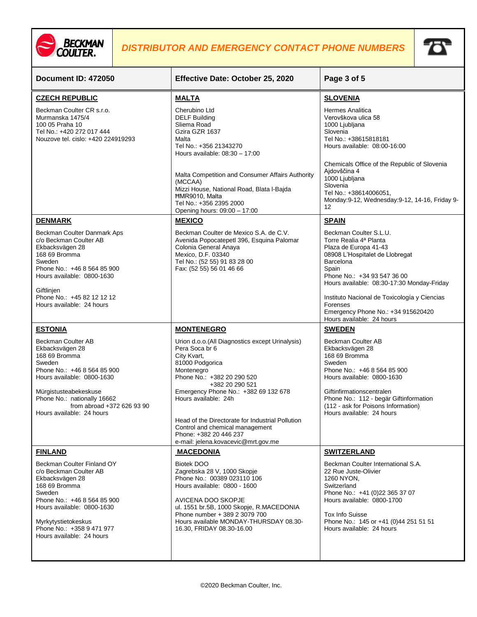



| Document ID: 472050                                                                                                                                                                                                                                                | Effective Date: October 25, 2020                                                                                                                                                                                                                                                                                                                                                                                | Page 3 of 5                                                                                                                                                                                                                                                                                                                                                    |
|--------------------------------------------------------------------------------------------------------------------------------------------------------------------------------------------------------------------------------------------------------------------|-----------------------------------------------------------------------------------------------------------------------------------------------------------------------------------------------------------------------------------------------------------------------------------------------------------------------------------------------------------------------------------------------------------------|----------------------------------------------------------------------------------------------------------------------------------------------------------------------------------------------------------------------------------------------------------------------------------------------------------------------------------------------------------------|
| <b>CZECH REPUBLIC</b><br>Beckman Coulter CR s.r.o.<br>Murmanska 1475/4<br>100 05 Praha 10<br>Tel No.: +420 272 017 444<br>Nouzove tel. cislo: +420 224919293                                                                                                       | <b>MALTA</b><br>Cherubino Ltd<br><b>DELF Building</b><br>Sliema Road<br>Gzira GZR 1637<br>Malta<br>Tel No.: +356 21343270<br>Hours available: 08:30 - 17:00<br>Malta Competition and Consumer Affairs Authority<br>(MCCAA)                                                                                                                                                                                      | <b>SLOVENIA</b><br>Hermes Analitica<br>Verovškova ulica 58<br>1000 Ljubljana<br>Slovenia<br>Tel No.: +38615818181<br>Hours available: 08:00-16:00<br>Chemicals Office of the Republic of Slovenia<br>Ajdovščina 4<br>1000 Ljubljana<br>Slovenia                                                                                                                |
|                                                                                                                                                                                                                                                                    | Mizzi House, National Road, Blata l-Bajda<br><b>HMR9010, Malta</b><br>Tel No.: +356 2395 2000<br>Opening hours: 09:00 - 17:00                                                                                                                                                                                                                                                                                   | Tel No.: +38614006051,<br>Monday: 9-12, Wednesday: 9-12, 14-16, Friday 9-<br>12                                                                                                                                                                                                                                                                                |
| <b>DENMARK</b><br>Beckman Coulter Danmark Aps<br>c/o Beckman Coulter AB<br>Ekbacksvägen 28<br>168 69 Bromma<br>Sweden<br>Phone No.: +46 8 564 85 900<br>Hours available: 0800-1630<br>Giftlinjen<br>Phone No.: +45 82 12 12 12<br>Hours available: 24 hours        | <b>MEXICO</b><br>Beckman Coulter de Mexico S.A. de C.V.<br>Avenida Popocatepetl 396, Esquina Palomar<br>Colonia General Anaya<br>Mexico, D.F. 03340<br>Tel No.: (52 55) 91 83 28 00<br>Fax: (52 55) 56 01 46 66                                                                                                                                                                                                 | <b>SPAIN</b><br>Beckman Coulter S.L.U.<br>Torre Realia 4ª Planta<br>Plaza de Europa 41-43<br>08908 L'Hospitalet de Llobregat<br>Barcelona<br>Spain<br>Phone No.: +34 93 547 36 00<br>Hours available: 08:30-17:30 Monday-Friday<br>Instituto Nacional de Toxicología y Ciencias<br>Forenses<br>Emergency Phone No.: +34 915620420<br>Hours available: 24 hours |
| <b>ESTONIA</b><br>Beckman Coulter AB<br>Ekbacksvägen 28<br>168 69 Bromma<br>Sweden<br>Phone No.: +46 8 564 85 900<br>Hours available: 0800-1630<br>Mürgistusteabekeskuse<br>Phone No.: nationally 16662<br>from abroad +372 626 93 90<br>Hours available: 24 hours | <b>MONTENEGRO</b><br>Urion d.o.o.(All Diagnostics except Urinalysis)<br>Pera Soca br 6<br>City Kvart,<br>81000 Podgorica<br>Montenegro<br>Phone No.: +382 20 290 520<br>+382 20 290 521<br>Emergency Phone No.: +382 69 132 678<br>Hours available: 24h<br>Head of the Directorate for Industrial Pollution<br>Control and chemical management<br>Phone: +382 20 446 237<br>e-mail: jelena.kovacevic@mrt.gov.me | <b>SWEDEN</b><br>Beckman Coulter AB<br>Ekbacksvägen 28<br>168 69 Bromma<br>Sweden<br>Phone No.: +46 8 564 85 900<br>Hours available: 0800-1630<br>Giftinfirmationscentralen<br>Phone No.: 112 - begär Giftinformation<br>(112 - ask for Poisons Information)<br>Hours available: 24 hours                                                                      |
| <b>FINLAND</b><br>Beckman Coulter Finland OY<br>c/o Beckman Coulter AB<br>Ekbacksvägen 28<br>168 69 Bromma<br>Sweden<br>Phone No.: +46 8 564 85 900<br>Hours available: 0800-1630<br>Myrkytystietokeskus<br>Phone No.: +358 9 471 977<br>Hours available: 24 hours | <b>MACEDONIA</b><br><b>Biotek DOO</b><br>Zagrebska 28 V, 1000 Skopje<br>Phone No.: 00389 023110 106<br>Hours available: 0800 - 1600<br>AVICENA DOO SKOPJE<br>ul. 1551 br.5B, 1000 Skopje, R.MACEDONIA<br>Phone number + 389 2 3079 700<br>Hours available MONDAY-THURSDAY 08.30-<br>16.30, FRIDAY 08.30-16.00                                                                                                   | <b>SWITZERLAND</b><br>Beckman Coulter International S.A.<br>22 Rue Juste-Olivier<br>1260 NYON,<br>Switzerland<br>Phone No.: +41 (0)22 365 37 07<br>Hours available: 0800-1700<br><b>Tox Info Suisse</b><br>Phone No.: 145 or +41 (0)44 251 51 51<br>Hours available: 24 hours                                                                                  |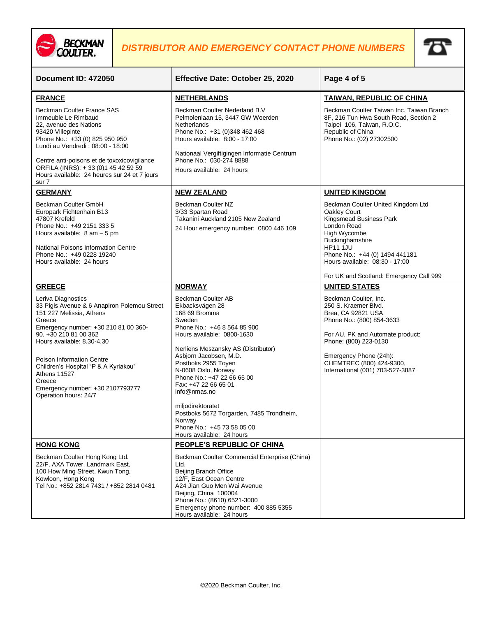



| Document ID: 472050                                                                                                                                                                                                                                                                                                                                                              | Effective Date: October 25, 2020                                                                                                                                                                                                                                                                                                                                                                                                                         | Page 4 of 5                                                                                                                                                                                                                                                       |
|----------------------------------------------------------------------------------------------------------------------------------------------------------------------------------------------------------------------------------------------------------------------------------------------------------------------------------------------------------------------------------|----------------------------------------------------------------------------------------------------------------------------------------------------------------------------------------------------------------------------------------------------------------------------------------------------------------------------------------------------------------------------------------------------------------------------------------------------------|-------------------------------------------------------------------------------------------------------------------------------------------------------------------------------------------------------------------------------------------------------------------|
| <b>FRANCE</b>                                                                                                                                                                                                                                                                                                                                                                    | <b>NETHERLANDS</b>                                                                                                                                                                                                                                                                                                                                                                                                                                       | TAIWAN, REPUBLIC OF CHINA                                                                                                                                                                                                                                         |
| Beckman Coulter France SAS<br>Immeuble Le Rimbaud<br>22, avenue des Nations<br>93420 Villepinte<br>Phone No.: +33 (0) 825 950 950<br>Lundi au Vendredi: 08:00 - 18:00<br>Centre anti-poisons et de toxoxicovigilance<br>ORFILA (INRS): +33 (0)1 45 42 59 59<br>Hours available: 24 heures sur 24 et 7 jours<br>sur 7                                                             | Beckman Coulter Nederland B.V<br>Pelmolenlaan 15, 3447 GW Woerden<br>Netherlands<br>Phone No.: +31 (0)348 462 468<br>Hours available: 8:00 - 17:00<br>Nationaal Vergiftigingen Informatie Centrum<br>Phone No.: 030-274 8888<br>Hours available: 24 hours                                                                                                                                                                                                | Beckman Coulter Taiwan Inc. Taiwan Branch<br>8F, 216 Tun Hwa South Road, Section 2<br>Taipei 106, Taiwan, R.O.C.<br>Republic of China<br>Phone No.: (02) 27302500                                                                                                 |
| <b>GERMANY</b>                                                                                                                                                                                                                                                                                                                                                                   | <b>NEW ZEALAND</b>                                                                                                                                                                                                                                                                                                                                                                                                                                       | <b>UNITED KINGDOM</b>                                                                                                                                                                                                                                             |
| Beckman Coulter GmbH<br>Europark Fichtenhain B13<br>47807 Krefeld<br>Phone No.: +49 2151 333 5<br>Hours available: $8 \text{ am} - 5 \text{ pm}$<br>National Poisons Information Centre<br>Phone No.: +49 0228 19240<br>Hours available: 24 hours                                                                                                                                | Beckman Coulter NZ<br>3/33 Spartan Road<br>Takanini Auckland 2105 New Zealand<br>24 Hour emergency number: 0800 446 109                                                                                                                                                                                                                                                                                                                                  | Beckman Coulter United Kingdom Ltd<br>Oakley Court<br>Kingsmead Business Park<br>London Road<br>High Wycombe<br>Buckinghamshire<br><b>HP11 1JU</b><br>Phone No.: +44 (0) 1494 441181<br>Hours available: 08:30 - 17:00<br>For UK and Scotland: Emergency Call 999 |
| <b>GREECE</b>                                                                                                                                                                                                                                                                                                                                                                    | <b>NORWAY</b>                                                                                                                                                                                                                                                                                                                                                                                                                                            | <b>UNITED STATES</b>                                                                                                                                                                                                                                              |
| Leriva Diagnostics<br>33 Pigis Avenue & 6 Anapiron Polemou Street<br>151 227 Melissia, Athens<br>Greece<br>Emergency number: +30 210 81 00 360-<br>90, +30 210 81 00 362<br>Hours available: 8.30-4.30<br><b>Poison Information Centre</b><br>Children's Hospital "P & A Kyriakou"<br><b>Athens 11527</b><br>Greece<br>Emergency number: +30 2107793777<br>Operation hours: 24/7 | Beckman Coulter AB<br>Ekbacksvägen 28<br>168 69 Bromma<br>Sweden<br>Phone No.: +46 8 564 85 900<br>Hours available: 0800-1630<br>Nerliens Meszansky AS (Distributor)<br>Asbjorn Jacobsen, M.D.<br>Postboks 2955 Toyen<br>N-0608 Oslo, Norway<br>Phone No.: +47 22 66 65 00<br>Fax: +47 22 66 65 01<br>info@nmas.no<br>miljodirektoratet<br>Postboks 5672 Torgarden, 7485 Trondheim,<br>Norway<br>Phone No.: +45 73 58 05 00<br>Hours available: 24 hours | Beckman Coulter, Inc.<br>250 S. Kraemer Blvd.<br>Brea, CA 92821 USA<br>Phone No.: (800) 854-3633<br>For AU, PK and Automate product:<br>Phone: (800) 223-0130<br>Emergency Phone (24h):<br>CHEMTREC (800) 424-9300,<br>International (001) 703-527-3887           |
| <b>HONG KONG</b>                                                                                                                                                                                                                                                                                                                                                                 | PEOPLE'S REPUBLIC OF CHINA                                                                                                                                                                                                                                                                                                                                                                                                                               |                                                                                                                                                                                                                                                                   |
| Beckman Coulter Hong Kong Ltd.<br>22/F, AXA Tower, Landmark East,<br>100 How Ming Street, Kwun Tong,<br>Kowloon, Hong Kong<br>Tel No.: +852 2814 7431 / +852 2814 0481                                                                                                                                                                                                           | Beckman Coulter Commercial Enterprise (China)<br>Ltd.<br><b>Beijing Branch Office</b><br>12/F, East Ocean Centre<br>A24 Jian Guo Men Wai Avenue<br>Beijing, China 100004<br>Phone No.: (8610) 6521-3000<br>Emergency phone number: 400 885 5355<br>Hours available: 24 hours                                                                                                                                                                             |                                                                                                                                                                                                                                                                   |